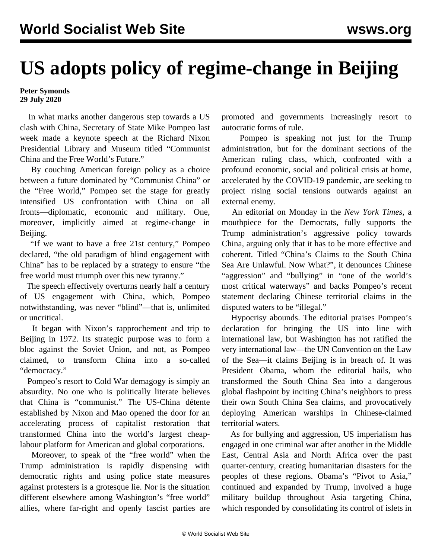## **US adopts policy of regime-change in Beijing**

## **Peter Symonds 29 July 2020**

 In what marks another dangerous step towards a US clash with China, Secretary of State Mike Pompeo last week made a keynote speech at the Richard Nixon Presidential Library and Museum titled "Communist China and the Free World's Future."

 By couching American foreign policy as a choice between a future dominated by "Communist China" or the "Free World," Pompeo set the stage for greatly intensified US confrontation with China on all fronts—diplomatic, economic and military. One, moreover, implicitly aimed at regime-change in Beijing.

 "If we want to have a free 21st century," Pompeo declared, "the old paradigm of blind engagement with China" has to be replaced by a strategy to ensure "the free world must triumph over this new tyranny."

 The speech effectively overturns nearly half a century of US engagement with China, which, Pompeo notwithstanding, was never "blind"—that is, unlimited or uncritical.

 It began with Nixon's rapprochement and trip to Beijing in 1972. Its strategic purpose was to form a bloc against the Soviet Union, and not, as Pompeo claimed, to transform China into a so-called "democracy."

 Pompeo's resort to Cold War demagogy is simply an absurdity. No one who is politically literate believes that China is "communist." The US-China détente established by Nixon and Mao opened the door for an accelerating process of capitalist restoration that transformed China into the world's largest cheaplabour platform for American and global corporations.

 Moreover, to speak of the "free world" when the Trump administration is rapidly dispensing with democratic rights and using police state measures against protesters is a grotesque lie. Nor is the situation different elsewhere among Washington's "free world" allies, where far-right and openly fascist parties are promoted and governments increasingly resort to autocratic forms of rule.

 Pompeo is speaking not just for the Trump administration, but for the dominant sections of the American ruling class, which, confronted with a profound economic, social and political crisis at home, accelerated by the COVID-19 pandemic, are seeking to project rising social tensions outwards against an external enemy.

 An editorial on Monday in the *New York Times*, a mouthpiece for the Democrats, fully supports the Trump administration's aggressive policy towards China, arguing only that it has to be more effective and coherent. Titled "China's Claims to the South China Sea Are Unlawful. Now What?", it denounces Chinese "aggression" and "bullying" in "one of the world's most critical waterways" and backs Pompeo's recent statement declaring Chinese territorial claims in the disputed waters to be "illegal."

 Hypocrisy abounds. The editorial praises Pompeo's declaration for bringing the US into line with international law, but Washington has not ratified the very international law—the UN Convention on the Law of the Sea—it claims Beijing is in breach of. It was President Obama, whom the editorial hails, who transformed the South China Sea into a dangerous global flashpoint by inciting China's neighbors to press their own South China Sea claims, and provocatively deploying American warships in Chinese-claimed territorial waters.

 As for bullying and aggression, US imperialism has engaged in one criminal war after another in the Middle East, Central Asia and North Africa over the past quarter-century, creating humanitarian disasters for the peoples of these regions. Obama's "Pivot to Asia," continued and expanded by Trump, involved a huge military buildup throughout Asia targeting China, which responded by consolidating its control of islets in